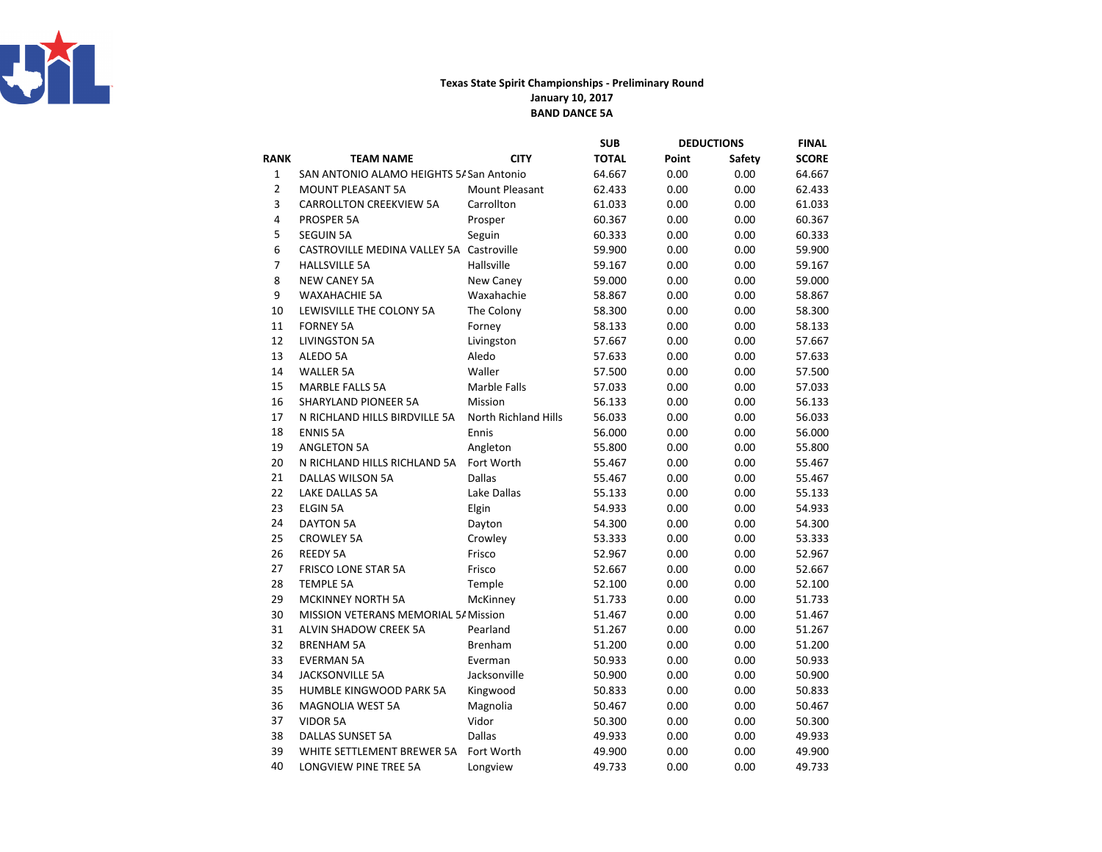

## Texas State Spirit Championships - Preliminary RoundJanuary 10, 2017BAND DANCE 5A

|             |                                          |                       | <b>SUB</b>   | <b>DEDUCTIONS</b> |        | <b>FINAL</b> |
|-------------|------------------------------------------|-----------------------|--------------|-------------------|--------|--------------|
| <b>RANK</b> | <b>TEAM NAME</b>                         | <b>CITY</b>           | <b>TOTAL</b> | Point             | Safety | <b>SCORE</b> |
| $\mathbf 1$ | SAN ANTONIO ALAMO HEIGHTS 5/ San Antonio |                       | 64.667       | 0.00              | 0.00   | 64.667       |
| 2           | <b>MOUNT PLEASANT 5A</b>                 | <b>Mount Pleasant</b> | 62.433       | 0.00              | 0.00   | 62.433       |
| 3           | <b>CARROLLTON CREEKVIEW 5A</b>           | Carrollton            | 61.033       | 0.00              | 0.00   | 61.033       |
| 4           | PROSPER 5A                               | Prosper               | 60.367       | 0.00              | 0.00   | 60.367       |
| 5           | <b>SEGUIN 5A</b>                         | Seguin                | 60.333       | 0.00              | 0.00   | 60.333       |
| 6           | CASTROVILLE MEDINA VALLEY 5A Castroville |                       | 59.900       | 0.00              | 0.00   | 59.900       |
| 7           | <b>HALLSVILLE 5A</b>                     | Hallsville            | 59.167       | 0.00              | 0.00   | 59.167       |
| 8           | <b>NEW CANEY 5A</b>                      | New Caney             | 59.000       | 0.00              | 0.00   | 59.000       |
| 9           | <b>WAXAHACHIE 5A</b>                     | Waxahachie            | 58.867       | 0.00              | 0.00   | 58.867       |
| 10          | LEWISVILLE THE COLONY 5A                 | The Colony            | 58.300       | 0.00              | 0.00   | 58.300       |
| 11          | <b>FORNEY 5A</b>                         | Forney                | 58.133       | 0.00              | 0.00   | 58.133       |
| 12          | <b>LIVINGSTON 5A</b>                     | Livingston            | 57.667       | 0.00              | 0.00   | 57.667       |
| 13          | ALEDO 5A                                 | Aledo                 | 57.633       | 0.00              | 0.00   | 57.633       |
| 14          | <b>WALLER 5A</b>                         | Waller                | 57.500       | 0.00              | 0.00   | 57.500       |
| 15          | <b>MARBLE FALLS 5A</b>                   | Marble Falls          | 57.033       | 0.00              | 0.00   | 57.033       |
| 16          | SHARYLAND PIONEER 5A                     | Mission               | 56.133       | 0.00              | 0.00   | 56.133       |
| 17          | N RICHLAND HILLS BIRDVILLE 5A            | North Richland Hills  | 56.033       | 0.00              | 0.00   | 56.033       |
| 18          | <b>ENNIS 5A</b>                          | Ennis                 | 56.000       | 0.00              | 0.00   | 56.000       |
| 19          | <b>ANGLETON 5A</b>                       | Angleton              | 55.800       | 0.00              | 0.00   | 55.800       |
| 20          | N RICHLAND HILLS RICHLAND 5A             | Fort Worth            | 55.467       | 0.00              | 0.00   | 55.467       |
| 21          | DALLAS WILSON 5A                         | <b>Dallas</b>         | 55.467       | 0.00              | 0.00   | 55.467       |
| 22          | LAKE DALLAS 5A                           | Lake Dallas           | 55.133       | 0.00              | 0.00   | 55.133       |
| 23          | <b>ELGIN 5A</b>                          | Elgin                 | 54.933       | 0.00              | 0.00   | 54.933       |
| 24          | <b>DAYTON 5A</b>                         | Dayton                | 54.300       | 0.00              | 0.00   | 54.300       |
| 25          | <b>CROWLEY 5A</b>                        | Crowley               | 53.333       | 0.00              | 0.00   | 53.333       |
| 26          | <b>REEDY 5A</b>                          | Frisco                | 52.967       | 0.00              | 0.00   | 52.967       |
| 27          | <b>FRISCO LONE STAR 5A</b>               | Frisco                | 52.667       | 0.00              | 0.00   | 52.667       |
| 28          | <b>TEMPLE 5A</b>                         | Temple                | 52.100       | 0.00              | 0.00   | 52.100       |
| 29          | <b>MCKINNEY NORTH 5A</b>                 | McKinney              | 51.733       | 0.00              | 0.00   | 51.733       |
| 30          | MISSION VETERANS MEMORIAL 5/ Mission     |                       | 51.467       | 0.00              | 0.00   | 51.467       |
| 31          | ALVIN SHADOW CREEK 5A                    | Pearland              | 51.267       | 0.00              | 0.00   | 51.267       |
| 32          | <b>BRENHAM 5A</b>                        | <b>Brenham</b>        | 51.200       | 0.00              | 0.00   | 51.200       |
| 33          | <b>EVERMAN 5A</b>                        | Everman               | 50.933       | 0.00              | 0.00   | 50.933       |
| 34          | <b>JACKSONVILLE 5A</b>                   | Jacksonville          | 50.900       | 0.00              | 0.00   | 50.900       |
| 35          | <b>HUMBLE KINGWOOD PARK 5A</b>           | Kingwood              | 50.833       | 0.00              | 0.00   | 50.833       |
| 36          | <b>MAGNOLIA WEST 5A</b>                  | Magnolia              | 50.467       | 0.00              | 0.00   | 50.467       |
| 37          | <b>VIDOR 5A</b>                          | Vidor                 | 50.300       | 0.00              | 0.00   | 50.300       |
| 38          | DALLAS SUNSET 5A                         | <b>Dallas</b>         | 49.933       | 0.00              | 0.00   | 49.933       |
| 39          | WHITE SETTLEMENT BREWER 5A               | Fort Worth            | 49.900       | 0.00              | 0.00   | 49.900       |
| 40          | LONGVIEW PINE TREE 5A                    | Longview              | 49.733       | 0.00              | 0.00   | 49.733       |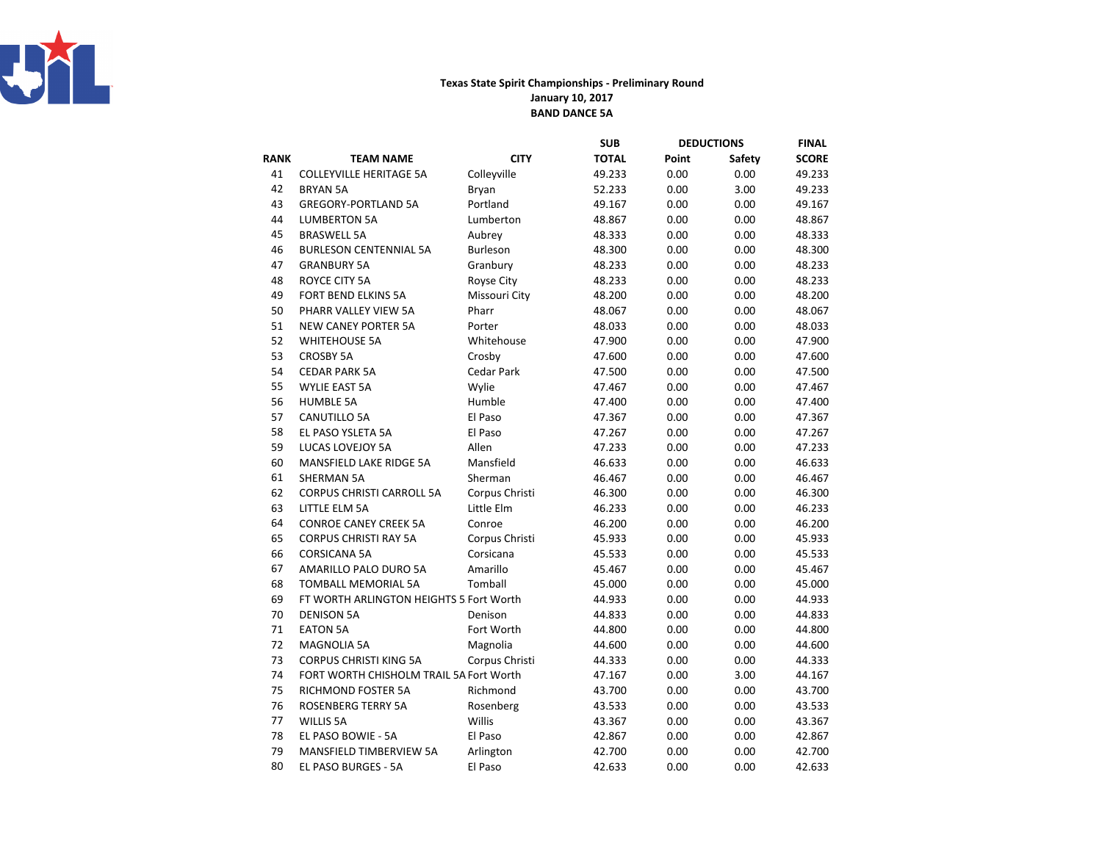

## Texas State Spirit Championships - Preliminary RoundJanuary 10, 2017BAND DANCE 5A

|             |                                         |                | <b>SUB</b>   | <b>DEDUCTIONS</b> |        | <b>FINAL</b> |
|-------------|-----------------------------------------|----------------|--------------|-------------------|--------|--------------|
| <b>RANK</b> | <b>TEAM NAME</b>                        | <b>CITY</b>    | <b>TOTAL</b> | Point             | Safety | <b>SCORE</b> |
| 41          | <b>COLLEYVILLE HERITAGE 5A</b>          | Colleyville    | 49.233       | 0.00              | 0.00   | 49.233       |
| 42          | <b>BRYAN 5A</b>                         | Bryan          | 52.233       | 0.00              | 3.00   | 49.233       |
| 43          | <b>GREGORY-PORTLAND 5A</b>              | Portland       | 49.167       | 0.00              | 0.00   | 49.167       |
| 44          | <b>LUMBERTON 5A</b>                     | Lumberton      | 48.867       | 0.00              | 0.00   | 48.867       |
| 45          | <b>BRASWELL 5A</b>                      | Aubrey         | 48.333       | 0.00              | 0.00   | 48.333       |
| 46          | <b>BURLESON CENTENNIAL 5A</b>           | Burleson       | 48.300       | 0.00              | 0.00   | 48.300       |
| 47          | <b>GRANBURY 5A</b>                      | Granbury       | 48.233       | 0.00              | 0.00   | 48.233       |
| 48          | ROYCE CITY 5A                           | Royse City     | 48.233       | 0.00              | 0.00   | 48.233       |
| 49          | FORT BEND ELKINS 5A                     | Missouri City  | 48.200       | 0.00              | 0.00   | 48.200       |
| 50          | PHARR VALLEY VIEW 5A                    | Pharr          | 48.067       | 0.00              | 0.00   | 48.067       |
| 51          | <b>NEW CANEY PORTER 5A</b>              | Porter         | 48.033       | 0.00              | 0.00   | 48.033       |
| 52          | <b>WHITEHOUSE 5A</b>                    | Whitehouse     | 47.900       | 0.00              | 0.00   | 47.900       |
| 53          | <b>CROSBY 5A</b>                        | Crosby         | 47.600       | 0.00              | 0.00   | 47.600       |
| 54          | <b>CEDAR PARK 5A</b>                    | Cedar Park     | 47.500       | 0.00              | 0.00   | 47.500       |
| 55          | <b>WYLIE EAST 5A</b>                    | Wylie          | 47.467       | 0.00              | 0.00   | 47.467       |
| 56          | <b>HUMBLE 5A</b>                        | Humble         | 47.400       | 0.00              | 0.00   | 47.400       |
| 57          | <b>CANUTILLO 5A</b>                     | El Paso        | 47.367       | 0.00              | 0.00   | 47.367       |
| 58          | EL PASO YSLETA 5A                       | El Paso        | 47.267       | 0.00              | 0.00   | 47.267       |
| 59          | LUCAS LOVEJOY 5A                        | Allen          | 47.233       | 0.00              | 0.00   | 47.233       |
| 60          | MANSFIELD LAKE RIDGE 5A                 | Mansfield      | 46.633       | 0.00              | 0.00   | 46.633       |
| 61          | <b>SHERMAN 5A</b>                       | Sherman        | 46.467       | 0.00              | 0.00   | 46.467       |
| 62          | CORPUS CHRISTI CARROLL 5A               | Corpus Christi | 46.300       | 0.00              | 0.00   | 46.300       |
| 63          | LITTLE ELM 5A                           | Little Elm     | 46.233       | 0.00              | 0.00   | 46.233       |
| 64          | <b>CONROE CANEY CREEK 5A</b>            | Conroe         | 46.200       | 0.00              | 0.00   | 46.200       |
| 65          | <b>CORPUS CHRISTI RAY 5A</b>            | Corpus Christi | 45.933       | 0.00              | 0.00   | 45.933       |
| 66          | <b>CORSICANA 5A</b>                     | Corsicana      | 45.533       | 0.00              | 0.00   | 45.533       |
| 67          | AMARILLO PALO DURO 5A                   | Amarillo       | 45.467       | 0.00              | 0.00   | 45.467       |
| 68          | <b>TOMBALL MEMORIAL 5A</b>              | Tomball        | 45.000       | 0.00              | 0.00   | 45.000       |
| 69          | FT WORTH ARLINGTON HEIGHTS 5 Fort Worth |                | 44.933       | 0.00              | 0.00   | 44.933       |
| 70          | <b>DENISON 5A</b>                       | Denison        | 44.833       | 0.00              | 0.00   | 44.833       |
| 71          | <b>EATON 5A</b>                         | Fort Worth     | 44.800       | 0.00              | 0.00   | 44.800       |
| 72          | <b>MAGNOLIA 5A</b>                      | Magnolia       | 44.600       | 0.00              | 0.00   | 44.600       |
| 73          | <b>CORPUS CHRISTI KING 5A</b>           | Corpus Christi | 44.333       | 0.00              | 0.00   | 44.333       |
| 74          | FORT WORTH CHISHOLM TRAIL 5A Fort Worth |                | 47.167       | 0.00              | 3.00   | 44.167       |
| 75          | RICHMOND FOSTER 5A                      | Richmond       | 43.700       | 0.00              | 0.00   | 43.700       |
| 76          | <b>ROSENBERG TERRY 5A</b>               | Rosenberg      | 43.533       | 0.00              | 0.00   | 43.533       |
| 77          | <b>WILLIS 5A</b>                        | Willis         | 43.367       | 0.00              | 0.00   | 43.367       |
| 78          | EL PASO BOWIE - 5A                      | El Paso        | 42.867       | 0.00              | 0.00   | 42.867       |
| 79          | MANSFIELD TIMBERVIEW 5A                 | Arlington      | 42.700       | 0.00              | 0.00   | 42.700       |
| 80          | <b>EL PASO BURGES - 5A</b>              | El Paso        | 42.633       | 0.00              | 0.00   | 42.633       |
|             |                                         |                |              |                   |        |              |